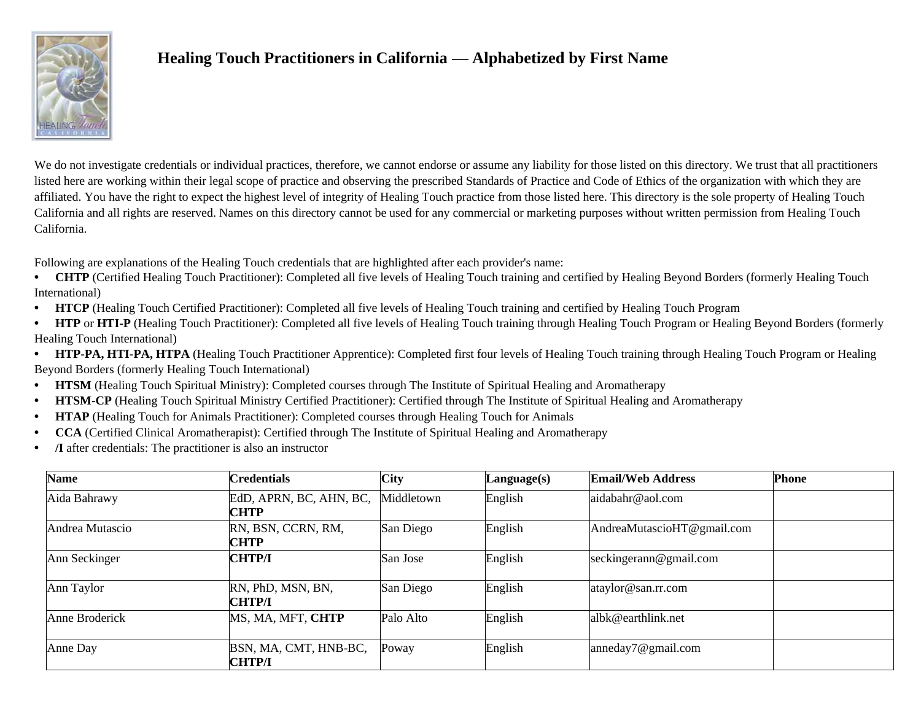

## **Healing Touch Practitioners in California — Alphabetized by First Name**

We do not investigate credentials or individual practices, therefore, we cannot endorse or assume any liability for those listed on this directory. We trust that all practitioners listed here are working within their legal scope of practice and observing the prescribed Standards of Practice and Code of Ethics of the organization with which they are affiliated. You have the right to expect the highest level of integrity of Healing Touch practice from those listed here. This directory is the sole property of Healing Touch California and all rights are reserved. Names on this directory cannot be used for any commercial or marketing purposes without written permission from Healing Touch California.

Following are explanations of the Healing Touch credentials that are highlighted after each provider's name:

- **• CHTP** (Certified Healing Touch Practitioner): Completed all five levels of Healing Touch training and certified by Healing Beyond Borders (formerly Healing Touch International)
- **• HTCP** (Healing Touch Certified Practitioner): Completed all five levels of Healing Touch training and certified by Healing Touch Program
- **• HTP** or **HTI-P** (Healing Touch Practitioner): Completed all five levels of Healing Touch training through Healing Touch Program or Healing Beyond Borders (formerly Healing Touch International)
- **• HTP-PA, HTI-PA, HTPA** (Healing Touch Practitioner Apprentice): Completed first four levels of Healing Touch training through Healing Touch Program or Healing Beyond Borders (formerly Healing Touch International)
- **HTSM** (Healing Touch Spiritual Ministry): Completed courses through The Institute of Spiritual Healing and Aromatherapy
- **• HTSM-CP** (Healing Touch Spiritual Ministry Certified Practitioner): Certified through The Institute of Spiritual Healing and Aromatherapy
- **• HTAP** (Healing Touch for Animals Practitioner): Completed courses through Healing Touch for Animals
- **• CCA** (Certified Clinical Aromatherapist): Certified through The Institute of Spiritual Healing and Aromatherapy
- **• /I** after credentials: The practitioner is also an instructor

| <b>Name</b>     | <b>Credentials</b>                     | <b>City</b> | $L$ anguage $(s)$ | <b>Email/Web Address</b>   | Phone |
|-----------------|----------------------------------------|-------------|-------------------|----------------------------|-------|
| Aida Bahrawy    | EdD, APRN, BC, AHN, BC,<br><b>CHTP</b> | Middletown  | English           | aidabahr@aol.com           |       |
| Andrea Mutascio | RN, BSN, CCRN, RM,<br><b>CHTP</b>      | San Diego   | English           | AndreaMutascioHT@gmail.com |       |
| Ann Seckinger   | <b>CHTP/I</b>                          | San Jose    | English           | seckingerann@gmail.com     |       |
| Ann Taylor      | RN, PhD, MSN, BN,<br>СНТР/І            | San Diego   | English           | ataylor@san.rr.com         |       |
| Anne Broderick  | MS, MA, MFT, CHTP                      | Palo Alto   | English           | albk@earthlink.net         |       |
| Anne Day        | BSN, MA, CMT, HNB-BC,<br><b>CHTP/I</b> | Poway       | English           | anneday7@gmail.com         |       |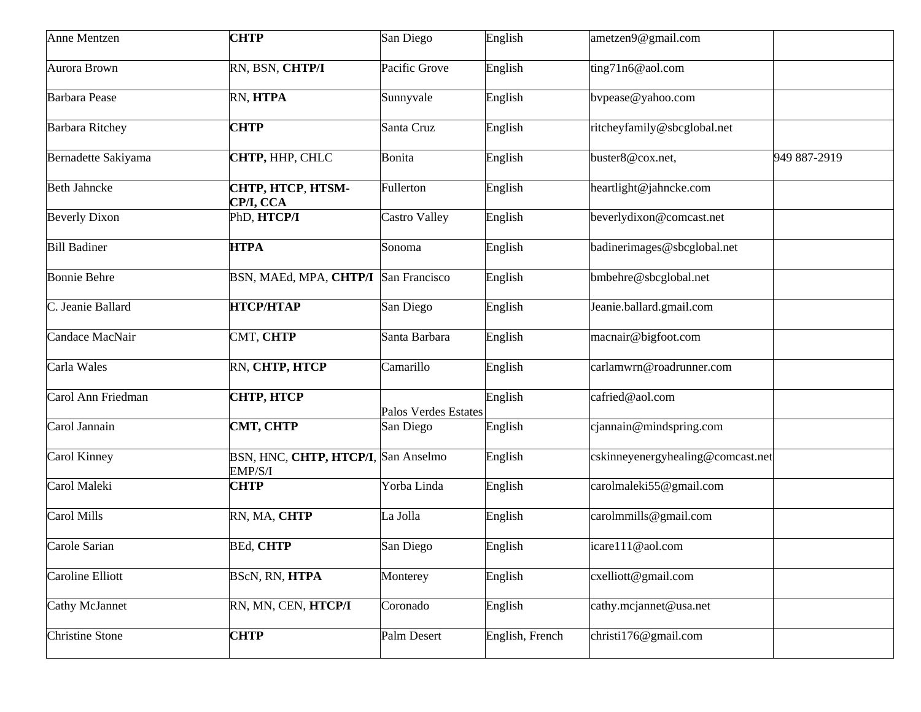| <b>Anne Mentzen</b>    | <b>CHTP</b>                                    | San Diego            | English         | ametzen9@gmail.com                |              |
|------------------------|------------------------------------------------|----------------------|-----------------|-----------------------------------|--------------|
| Aurora Brown           | RN, BSN, CHTP/I                                | Pacific Grove        | English         | ting71n6@aol.com                  |              |
| <b>Barbara</b> Pease   | RN, HTPA                                       | Sunnyvale            | English         | bvpease@yahoo.com                 |              |
| <b>Barbara Ritchey</b> | <b>CHTP</b>                                    | Santa Cruz           | English         | ritcheyfamily@sbcglobal.net       |              |
| Bernadette Sakiyama    | CHTP, HHP, CHLC                                | Bonita               | English         | buster8@cox.net,                  | 949 887-2919 |
| <b>Beth Jahncke</b>    | CHTP, HTCP, HTSM-<br>CP/I, CCA                 | Fullerton            | English         | heartlight@jahncke.com            |              |
| <b>Beverly Dixon</b>   | PhD, HTCP/I                                    | Castro Valley        | English         | beverlydixon@comcast.net          |              |
| <b>Bill Badiner</b>    | <b>HTPA</b>                                    | Sonoma               | English         | badinerimages@sbcglobal.net       |              |
| <b>Bonnie Behre</b>    | BSN, MAEd, MPA, CHTP/I San Francisco           |                      | English         | bmbehre@sbcglobal.net             |              |
| C. Jeanie Ballard      | <b>НТСР/НТАР</b>                               | San Diego            | English         | Jeanie.ballard.gmail.com          |              |
| Candace MacNair        | CMT, CHTP                                      | Santa Barbara        | English         | macnair@bigfoot.com               |              |
| Carla Wales            | RN, CHTP, HTCP                                 | Camarillo            | English         | carlamwrn@roadrunner.com          |              |
| Carol Ann Friedman     | СНТР, НТСР                                     | Palos Verdes Estates | English         | cafried@aol.com                   |              |
| Carol Jannain          | CMT, CHTP                                      | San Diego            | English         | cjannain@mindspring.com           |              |
| Carol Kinney           | BSN, HNC, CHTP, HTCP/I, San Anselmo<br>EMP/S/I |                      | English         | cskinneyenergyhealing@comcast.net |              |
| Carol Maleki           | <b>CHTP</b>                                    | Yorba Linda          | English         | carolmaleki55@gmail.com           |              |
| Carol Mills            | RN, MA, CHTP                                   | La Jolla             | English         | carolmmills@gmail.com             |              |
| Carole Sarian          | <b>BEd, CHTP</b>                               | San Diego            | English         | icare111@aol.com                  |              |
| Caroline Elliott       | BScN, RN, HTPA                                 | Monterey             | English         | cxelliott@gmail.com               |              |
| Cathy McJannet         | RN, MN, CEN, HTCP/I                            | Coronado             | English         | cathy.mcjannet@usa.net            |              |
| <b>Christine Stone</b> | <b>CHTP</b>                                    | Palm Desert          | English, French | christi $176@$ gmail.com          |              |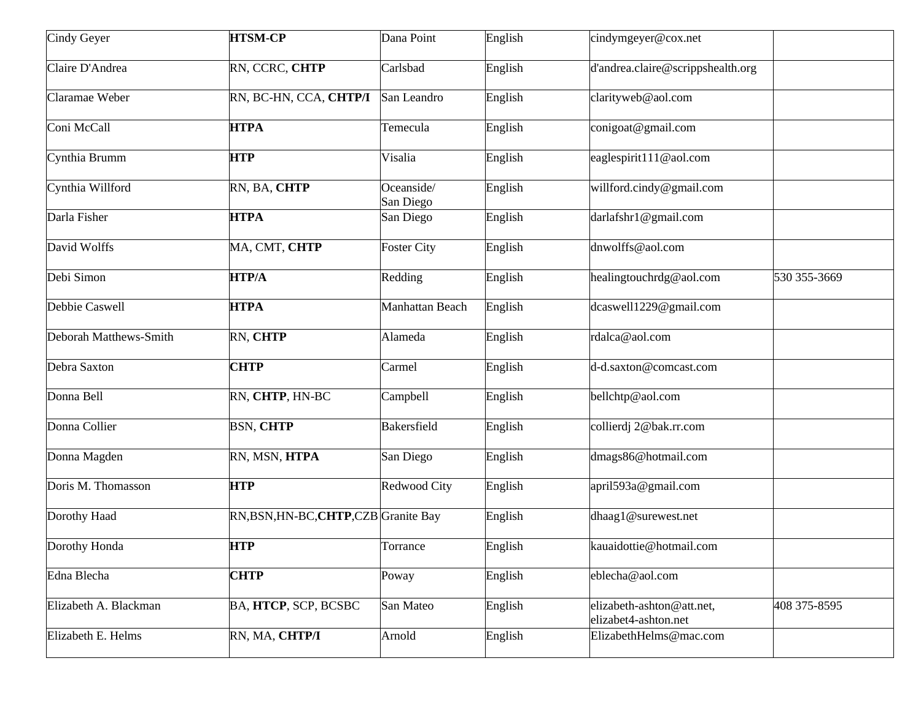| Cindy Geyer            | <b>HTSM-CP</b>                        | Dana Point              | English | cindymgeyer@cox.net                               |              |
|------------------------|---------------------------------------|-------------------------|---------|---------------------------------------------------|--------------|
| Claire D'Andrea        | RN, CCRC, CHTP                        | Carlsbad                | English | d'andrea.claire@scrippshealth.org                 |              |
| Claramae Weber         | RN, BC-HN, CCA, CHTP/I                | San Leandro             | English | clarityweb@aol.com                                |              |
| Coni McCall            | <b>HTPA</b>                           | Temecula                | English | conigoat@gmail.com                                |              |
| Cynthia Brumm          | <b>HTP</b>                            | Visalia                 | English | eaglespirit111@aol.com                            |              |
| Cynthia Willford       | RN, BA, CHTP                          | Oceanside/<br>San Diego | English | willford.cindy@gmail.com                          |              |
| Darla Fisher           | <b>HTPA</b>                           | San Diego               | English | darlafshr1@gmail.com                              |              |
| David Wolffs           | MA, CMT, CHTP                         | <b>Foster City</b>      | English | dnwolffs@aol.com                                  |              |
| Debi Simon             | <b>HTP/A</b>                          | Redding                 | English | healingtouchrdg@aol.com                           | 530 355-3669 |
| Debbie Caswell         | <b>HTPA</b>                           | Manhattan Beach         | English | dcaswell1229@gmail.com                            |              |
| Deborah Matthews-Smith | RN, CHTP                              | Alameda                 | English | rdalca@aol.com                                    |              |
| Debra Saxton           | <b>CHTP</b>                           | Carmel                  | English | d-d.saxton@comcast.com                            |              |
| Donna Bell             | RN, CHTP, HN-BC                       | Campbell                | English | bellchtp@aol.com                                  |              |
| Donna Collier          | <b>BSN, CHTP</b>                      | Bakersfield             | English | collierdj 2@bak.rr.com                            |              |
| Donna Magden           | RN, MSN, HTPA                         | San Diego               | English | dmags86@hotmail.com                               |              |
| Doris M. Thomasson     | <b>HTP</b>                            | <b>Redwood City</b>     | English | april593a@gmail.com                               |              |
| Dorothy Haad           | RN, BSN, HN-BC, CHTP, CZB Granite Bay |                         | English | dhaag1@surewest.net                               |              |
| Dorothy Honda          | <b>HTP</b>                            | Torrance                | English | kauaidottie@hotmail.com                           |              |
| Edna Blecha            | <b>CHTP</b>                           | Poway                   | English | eblecha@aol.com                                   |              |
| Elizabeth A. Blackman  | BA, HTCP, SCP, BCSBC                  | San Mateo               | English | elizabeth-ashton@att.net,<br>elizabet4-ashton.net | 408 375-8595 |
| Elizabeth E. Helms     | RN, MA, CHTP/I                        | Arnold                  | English | ElizabethHelms@mac.com                            |              |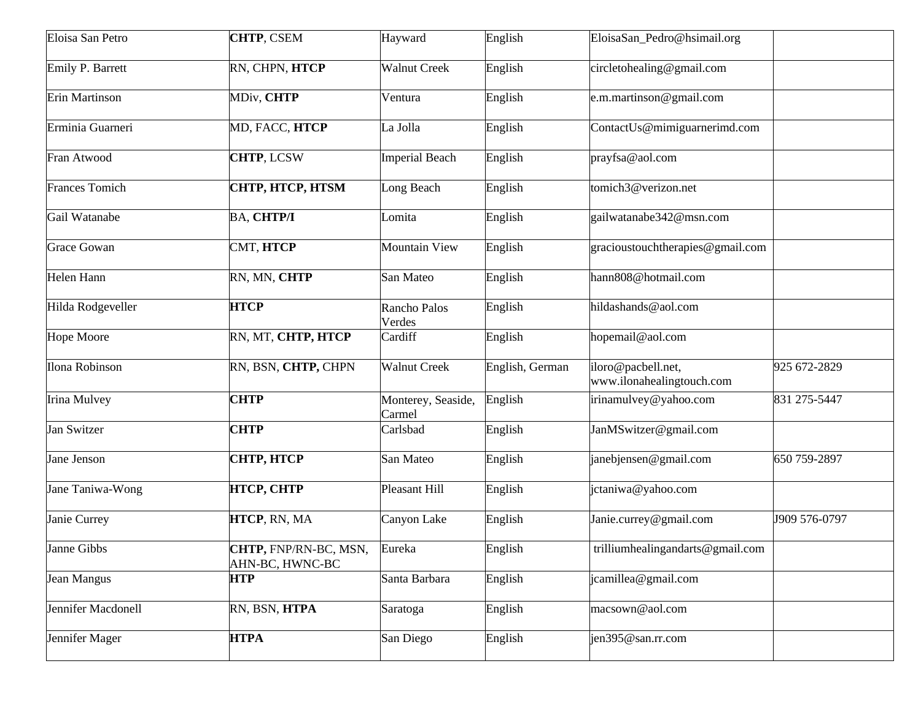| Eloisa San Petro      | <b>CHTP, CSEM</b>                        | Hayward                       | English         | EloisaSan_Pedro@hsimail.org                     |               |
|-----------------------|------------------------------------------|-------------------------------|-----------------|-------------------------------------------------|---------------|
| Emily P. Barrett      | RN, CHPN, HTCP                           | <b>Walnut Creek</b>           | English         | circletohealing@gmail.com                       |               |
| <b>Erin Martinson</b> | MDiv, CHTP                               | Ventura                       | English         | e.m.martinson@gmail.com                         |               |
| Erminia Guarneri      | MD, FACC, HTCP                           | La Jolla                      | English         | ContactUs@mimiguarnerimd.com                    |               |
| Fran Atwood           | <b>CHTP, LCSW</b>                        | <b>Imperial Beach</b>         | English         | prayfsa@aol.com                                 |               |
| <b>Frances Tomich</b> | CHTP, HTCP, HTSM                         | Long Beach                    | English         | tomich3@verizon.net                             |               |
| Gail Watanabe         | <b>BA, CHTP/I</b>                        | Lomita                        | English         | gailwatanabe342@msn.com                         |               |
| <b>Grace Gowan</b>    | CMT, HTCP                                | <b>Mountain View</b>          | English         | gracioustouchtherapies@gmail.com                |               |
| Helen Hann            | RN, MN, CHTP                             | San Mateo                     | English         | hann808@hotmail.com                             |               |
| Hilda Rodgeveller     | <b>HTCP</b>                              | <b>Rancho Palos</b><br>Verdes | English         | hildashands@aol.com                             |               |
| <b>Hope Moore</b>     | RN, MT, CHTP, HTCP                       | Cardiff                       | English         | hopemail@aol.com                                |               |
| Ilona Robinson        | RN, BSN, CHTP, CHPN                      | <b>Walnut Creek</b>           | English, German | iloro@pacbell.net,<br>www.ilonahealingtouch.com | 925 672-2829  |
| Irina Mulvey          | <b>CHTP</b>                              | Monterey, Seaside,<br>Carmel  | English         | irinamulvey@yahoo.com                           | 831 275-5447  |
| Jan Switzer           | <b>CHTP</b>                              | Carlsbad                      | English         | JanMSwitzer@gmail.com                           |               |
| Jane Jenson           | <b>CHTP, HTCP</b>                        | San Mateo                     | English         | janebjensen@gmail.com                           | 650 759-2897  |
| Jane Taniwa-Wong      | <b>HTCP, CHTP</b>                        | Pleasant Hill                 | English         | jctaniwa@yahoo.com                              |               |
| Janie Currey          | HTCP, RN, MA                             | Canyon Lake                   | English         | Janie.currey@gmail.com                          | J909 576-0797 |
| Janne Gibbs           | CHTP, FNP/RN-BC, MSN,<br>AHN-BC, HWNC-BC | Eureka                        | English         | trilliumhealingandarts@gmail.com                |               |
| Jean Mangus           | <b>HTP</b>                               | Santa Barbara                 | English         | jcamillea@gmail.com                             |               |
| Jennifer Macdonell    | RN, BSN, HTPA                            | Saratoga                      | English         | macsown@aol.com                                 |               |
| Jennifer Mager        | <b>HTPA</b>                              | San Diego                     | English         | jen395@san.rr.com                               |               |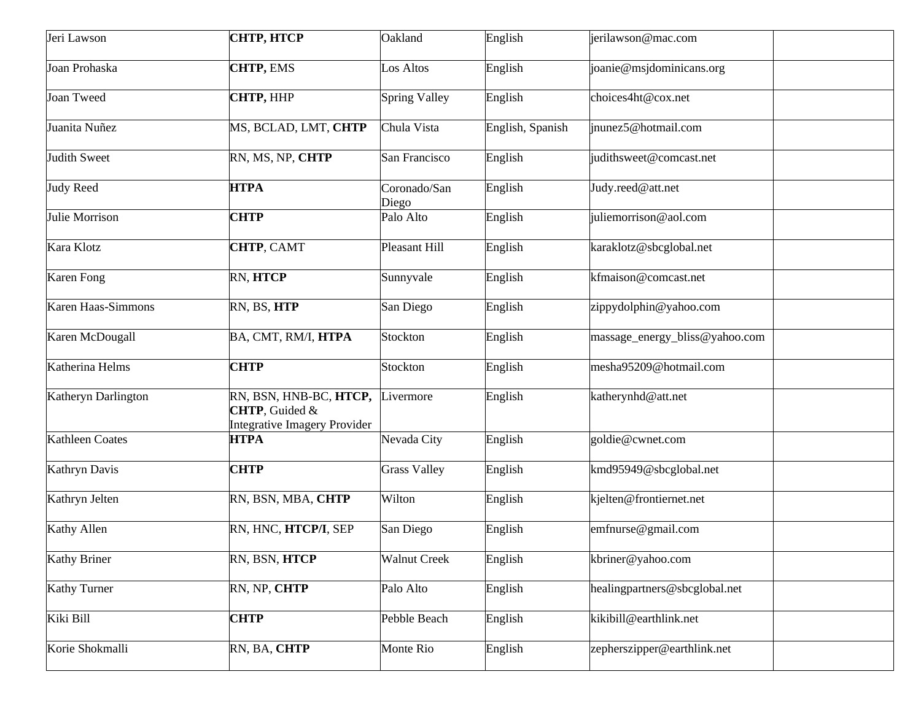| Jeri Lawson            | СНТР, НТСР                                                               | Oakland               | English          | jerilawson@mac.com             |  |
|------------------------|--------------------------------------------------------------------------|-----------------------|------------------|--------------------------------|--|
| Joan Prohaska          | <b>CHTP, EMS</b>                                                         | Los Altos             | English          | joanie@msjdominicans.org       |  |
| Joan Tweed             | CHTP, HHP                                                                | <b>Spring Valley</b>  | English          | choices4ht@cox.net             |  |
| Juanita Nuñez          | MS, BCLAD, LMT, CHTP                                                     | Chula Vista           | English, Spanish | inunez5@hotmail.com            |  |
| Judith Sweet           | RN, MS, NP, CHTP                                                         | San Francisco         | English          | judithsweet@comcast.net        |  |
| <b>Judy Reed</b>       | <b>HTPA</b>                                                              | Coronado/San<br>Diego | English          | Judy.reed@att.net              |  |
| Julie Morrison         | <b>CHTP</b>                                                              | Palo Alto             | English          | juliemorrison@aol.com          |  |
| Kara Klotz             | <b>CHTP, CAMT</b>                                                        | Pleasant Hill         | English          | karaklotz@sbcglobal.net        |  |
| Karen Fong             | RN, HTCP                                                                 | Sunnyvale             | English          | kfmaison@comcast.net           |  |
| Karen Haas-Simmons     | RN, BS, HTP                                                              | San Diego             | English          | zippydolphin@yahoo.com         |  |
| Karen McDougall        | BA, CMT, RM/I, HTPA                                                      | Stockton              | English          | massage_energy_bliss@yahoo.com |  |
| Katherina Helms        | <b>CHTP</b>                                                              | Stockton              | English          | mesha95209@hotmail.com         |  |
| Katheryn Darlington    | RN, BSN, HNB-BC, HTCP,<br>CHTP, Guided &<br>Integrative Imagery Provider | Livermore             | English          | katherynhd@att.net             |  |
| <b>Kathleen Coates</b> | <b>HTPA</b>                                                              | Nevada City           | English          | goldie@cwnet.com               |  |
| Kathryn Davis          | <b>CHTP</b>                                                              | <b>Grass Valley</b>   | English          | kmd95949@sbcglobal.net         |  |
| Kathryn Jelten         | RN, BSN, MBA, CHTP                                                       | Wilton                | English          | kjelten@frontiernet.net        |  |
| Kathy Allen            | RN, HNC, HTCP/I, SEP                                                     | San Diego             | English          | emfnurse@gmail.com             |  |
| <b>Kathy Briner</b>    | RN, BSN, HTCP                                                            | <b>Walnut Creek</b>   | English          | kbriner@yahoo.com              |  |
| <b>Kathy Turner</b>    | RN, NP, CHTP                                                             | Palo Alto             | English          | healingpartners@sbcglobal.net  |  |
| Kiki Bill              | <b>CHTP</b>                                                              | Pebble Beach          | English          | kikibill@earthlink.net         |  |
| Korie Shokmalli        | RN, BA, CHTP                                                             | Monte Rio             | English          | zepherszipper@earthlink.net    |  |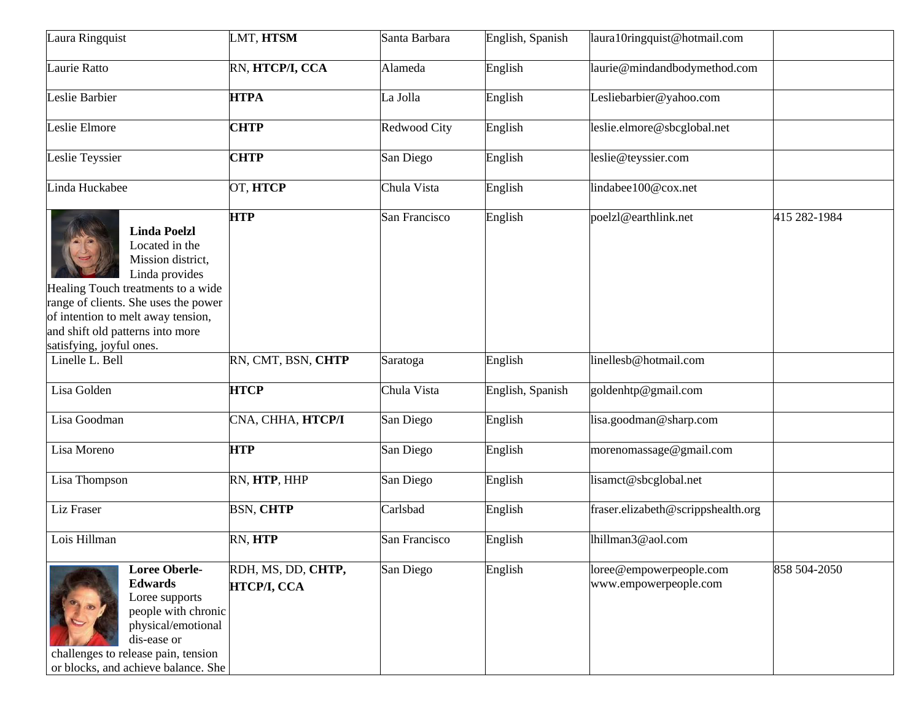| Laura Ringquist                                                                                                                                                                                                                                                  | LMT, HTSM                         | Santa Barbara | English, Spanish | laura10ringquist@hotmail.com                     |              |
|------------------------------------------------------------------------------------------------------------------------------------------------------------------------------------------------------------------------------------------------------------------|-----------------------------------|---------------|------------------|--------------------------------------------------|--------------|
| Laurie Ratto                                                                                                                                                                                                                                                     | RN, HTCP/I, CCA                   | Alameda       | English          | laurie@mindandbodymethod.com                     |              |
| Leslie Barbier                                                                                                                                                                                                                                                   | <b>HTPA</b>                       | La Jolla      | English          | Lesliebarbier@yahoo.com                          |              |
| Leslie Elmore                                                                                                                                                                                                                                                    | <b>CHTP</b>                       | Redwood City  | English          | leslie.elmore@sbcglobal.net                      |              |
| Leslie Teyssier                                                                                                                                                                                                                                                  | <b>CHTP</b>                       | San Diego     | English          | leslie@teyssier.com                              |              |
| Linda Huckabee                                                                                                                                                                                                                                                   | OT, HTCP                          | Chula Vista   | English          | lindabee100@cox.net                              |              |
| <b>Linda Poelzl</b><br>Located in the<br>Mission district,<br>Linda provides<br>Healing Touch treatments to a wide<br>range of clients. She uses the power<br>of intention to melt away tension,<br>and shift old patterns into more<br>satisfying, joyful ones. | <b>HTP</b>                        | San Francisco | English          | poelzl@earthlink.net                             | 415 282-1984 |
| Linelle L. Bell                                                                                                                                                                                                                                                  | RN, CMT, BSN, CHTP                | Saratoga      | English          | linellesb@hotmail.com                            |              |
| Lisa Golden                                                                                                                                                                                                                                                      | <b>HTCP</b>                       | Chula Vista   | English, Spanish | goldenhtp@gmail.com                              |              |
| Lisa Goodman                                                                                                                                                                                                                                                     | CNA, CHHA, HTCP/I                 | San Diego     | English          | lisa.goodman@sharp.com                           |              |
| Lisa Moreno                                                                                                                                                                                                                                                      | <b>HTP</b>                        | San Diego     | English          | morenomassage@gmail.com                          |              |
| Lisa Thompson                                                                                                                                                                                                                                                    | RN, HTP, HHP                      | San Diego     | English          | lisamct@sbcglobal.net                            |              |
| Liz Fraser                                                                                                                                                                                                                                                       | <b>BSN, CHTP</b>                  | Carlsbad      | English          | fraser.elizabeth@scrippshealth.org               |              |
| Lois Hillman                                                                                                                                                                                                                                                     | RN, HTP                           | San Francisco | English          | lhillman3@aol.com                                |              |
| <b>Loree Oberle-</b><br><b>Edwards</b><br>Loree supports<br>people with chronic<br>physical/emotional<br>dis-ease or<br>challenges to release pain, tension<br>or blocks, and achieve balance. She                                                               | RDH, MS, DD, CHTP,<br>HTCP/I, CCA | San Diego     | English          | loree@empowerpeople.com<br>www.empowerpeople.com | 858 504-2050 |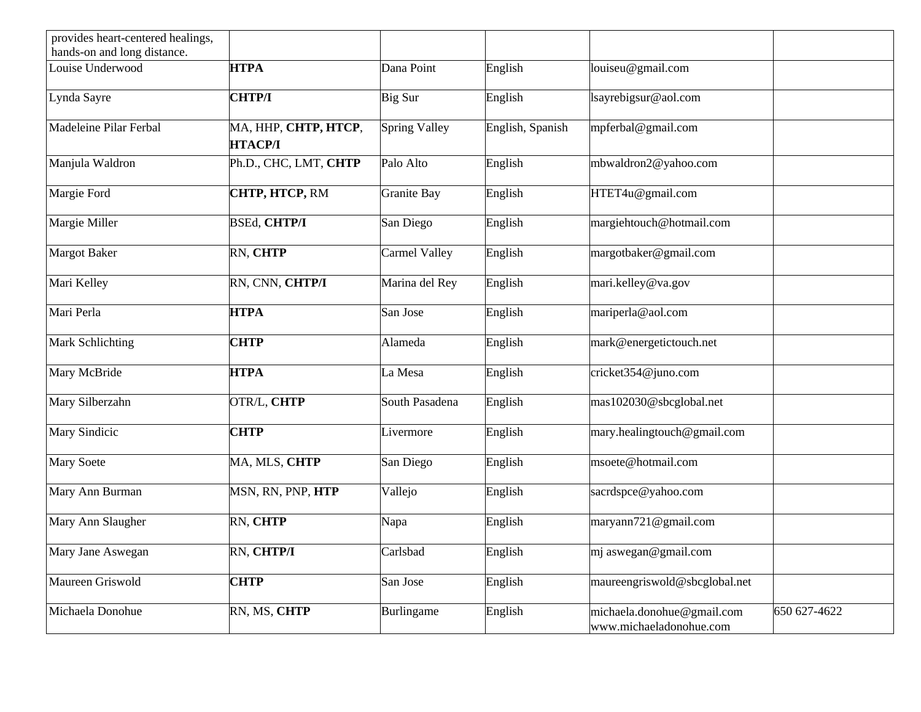| provides heart-centered healings,<br>hands-on and long distance. |                                        |                      |                  |                                                       |              |
|------------------------------------------------------------------|----------------------------------------|----------------------|------------------|-------------------------------------------------------|--------------|
| Louise Underwood                                                 | <b>HTPA</b>                            | Dana Point           | English          | louiseu@gmail.com                                     |              |
| Lynda Sayre                                                      | <b>CHTP/I</b>                          | Big Sur              | English          | lsayrebigsur@aol.com                                  |              |
| Madeleine Pilar Ferbal                                           | MA, HHP, CHTP, HTCP,<br><b>HTACP/I</b> | <b>Spring Valley</b> | English, Spanish | mpferbal@gmail.com                                    |              |
| Manjula Waldron                                                  | Ph.D., CHC, LMT, CHTP                  | Palo Alto            | English          | mbwaldron2@yahoo.com                                  |              |
| Margie Ford                                                      | CHTP, HTCP, RM                         | <b>Granite Bay</b>   | English          | HTET4u@gmail.com                                      |              |
| Margie Miller                                                    | <b>BSEd, CHTP/I</b>                    | San Diego            | English          | margiehtouch@hotmail.com                              |              |
| <b>Margot Baker</b>                                              | RN, CHTP                               | Carmel Valley        | English          | margotbaker@gmail.com                                 |              |
| Mari Kelley                                                      | RN, CNN, CHTP/I                        | Marina del Rey       | English          | mari.kelley@va.gov                                    |              |
| Mari Perla                                                       | <b>HTPA</b>                            | San Jose             | English          | mariperla@aol.com                                     |              |
| Mark Schlichting                                                 | <b>CHTP</b>                            | Alameda              | English          | mark@energetictouch.net                               |              |
| Mary McBride                                                     | <b>HTPA</b>                            | La Mesa              | English          | cricket354@juno.com                                   |              |
| Mary Silberzahn                                                  | OTR/L, CHTP                            | South Pasadena       | English          | mas102030@sbcglobal.net                               |              |
| Mary Sindicic                                                    | <b>CHTP</b>                            | Livermore            | English          | mary.healingtouch@gmail.com                           |              |
| <b>Mary Soete</b>                                                | MA, MLS, CHTP                          | San Diego            | English          | msoete@hotmail.com                                    |              |
| Mary Ann Burman                                                  | MSN, RN, PNP, HTP                      | Vallejo              | English          | sacrdspce@yahoo.com                                   |              |
| Mary Ann Slaugher                                                | RN, CHTP                               | Napa                 | English          | maryann721@gmail.com                                  |              |
| Mary Jane Aswegan                                                | RN, CHTP/I                             | Carlsbad             | English          | mj aswegan@gmail.com                                  |              |
| Maureen Griswold                                                 | <b>CHTP</b>                            | San Jose             | English          | maureengriswold@sbcglobal.net                         |              |
| Michaela Donohue                                                 | RN, MS, CHTP                           | Burlingame           | English          | michaela.donohue@gmail.com<br>www.michaeladonohue.com | 650 627-4622 |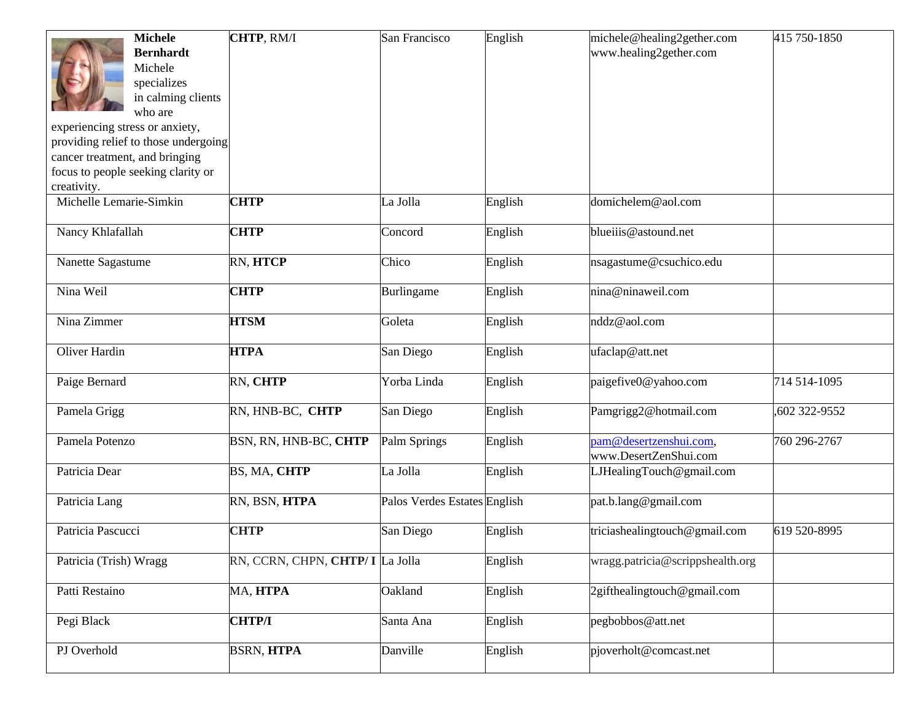| <b>Michele</b><br><b>Bernhardt</b><br>Michele<br>specializes<br>in calming clients<br>who are<br>experiencing stress or anxiety,<br>providing relief to those undergoing<br>cancer treatment, and bringing<br>focus to people seeking clarity or<br>creativity. | CHTP, RM/I                       | San Francisco                | English | michele@healing2gether.com<br>www.healing2gether.com | 415 750-1850  |
|-----------------------------------------------------------------------------------------------------------------------------------------------------------------------------------------------------------------------------------------------------------------|----------------------------------|------------------------------|---------|------------------------------------------------------|---------------|
| Michelle Lemarie-Simkin                                                                                                                                                                                                                                         | <b>CHTP</b>                      | La Jolla                     | English | domichelem@aol.com                                   |               |
| Nancy Khlafallah                                                                                                                                                                                                                                                | <b>CHTP</b>                      | Concord                      | English | blueiiis@astound.net                                 |               |
| Nanette Sagastume                                                                                                                                                                                                                                               | RN, HTCP                         | Chico                        | English | nsagastume@csuchico.edu                              |               |
| Nina Weil                                                                                                                                                                                                                                                       | <b>CHTP</b>                      | Burlingame                   | English | nina@ninaweil.com                                    |               |
| Nina Zimmer                                                                                                                                                                                                                                                     | <b>HTSM</b>                      | Goleta                       | English | nddz@aol.com                                         |               |
| Oliver Hardin                                                                                                                                                                                                                                                   | <b>HTPA</b>                      | San Diego                    | English | ufaclap@att.net                                      |               |
| Paige Bernard                                                                                                                                                                                                                                                   | RN, CHTP                         | Yorba Linda                  | English | paigefive0@yahoo.com                                 | 714 514-1095  |
| Pamela Grigg                                                                                                                                                                                                                                                    | RN, HNB-BC, CHTP                 | San Diego                    | English | Pamgrigg2@hotmail.com                                | ,602 322-9552 |
| Pamela Potenzo                                                                                                                                                                                                                                                  | BSN, RN, HNB-BC, CHTP            | Palm Springs                 | English | pam@desertzenshui.com,<br>www.DesertZenShui.com      | 760 296-2767  |
| Patricia Dear                                                                                                                                                                                                                                                   | BS, MA, CHTP                     | La Jolla                     | English | LJHealingTouch@gmail.com                             |               |
| Patricia Lang                                                                                                                                                                                                                                                   | RN, BSN, HTPA                    | Palos Verdes Estates English |         | pat.b.lang@gmail.com                                 |               |
| Patricia Pascucci                                                                                                                                                                                                                                               | <b>CHTP</b>                      | San Diego                    | English | triciashealingtouch@gmail.com                        | 619 520-8995  |
| Patricia (Trish) Wragg                                                                                                                                                                                                                                          | RN, CCRN, CHPN, CHTP/ I La Jolla |                              | English | wragg.patricia@scrippshealth.org                     |               |
| Patti Restaino                                                                                                                                                                                                                                                  | MA, HTPA                         | Oakland                      | English | 2gifthealingtouch@gmail.com                          |               |
| Pegi Black                                                                                                                                                                                                                                                      | <b>CHTP/I</b>                    | Santa Ana                    | English | pegbobbos@att.net                                    |               |
| PJ Overhold                                                                                                                                                                                                                                                     | <b>BSRN, HTPA</b>                | Danville                     | English | pjoverholt@comcast.net                               |               |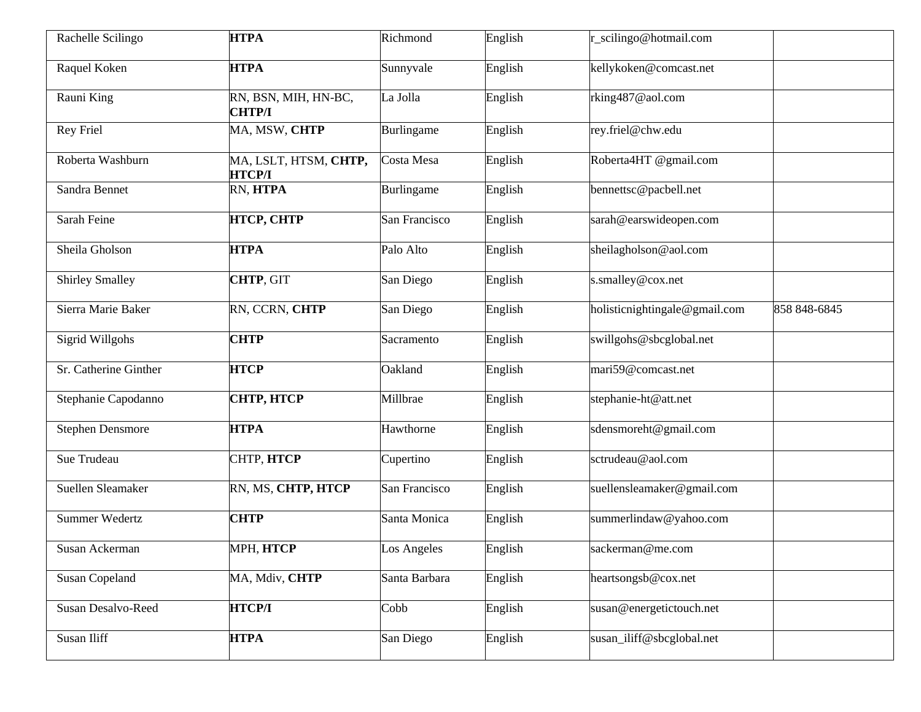| Rachelle Scilingo       | <b>HTPA</b>                            | Richmond      | English | r_scilingo@hotmail.com        |              |
|-------------------------|----------------------------------------|---------------|---------|-------------------------------|--------------|
| Raquel Koken            | <b>HTPA</b>                            | Sunnyvale     | English | kellykoken@comcast.net        |              |
| Rauni King              | RN, BSN, MIH, HN-BC,<br><b>CHTP/I</b>  | La Jolla      | English | rking487@aol.com              |              |
| <b>Rey Friel</b>        | MA, MSW, CHTP                          | Burlingame    | English | rey.friel@chw.edu             |              |
| Roberta Washburn        | MA, LSLT, HTSM, CHTP,<br><b>HTCP/I</b> | Costa Mesa    | English | Roberta4HT @gmail.com         |              |
| Sandra Bennet           | RN, HTPA                               | Burlingame    | English | bennettsc@pacbell.net         |              |
| Sarah Feine             | <b>HTCP, CHTP</b>                      | San Francisco | English | sarah@earswideopen.com        |              |
| Sheila Gholson          | <b>HTPA</b>                            | Palo Alto     | English | sheilagholson@aol.com         |              |
| <b>Shirley Smalley</b>  | CHTP, GIT                              | San Diego     | English | s.smalley@cox.net             |              |
| Sierra Marie Baker      | RN, CCRN, CHTP                         | San Diego     | English | holisticnightingale@gmail.com | 858 848-6845 |
| Sigrid Willgohs         | <b>CHTP</b>                            | Sacramento    | English | swillgohs@sbcglobal.net       |              |
| Sr. Catherine Ginther   | <b>HTCP</b>                            | Oakland       | English | mari59@comcast.net            |              |
| Stephanie Capodanno     | СНТР, НТСР                             | Millbrae      | English | stephanie-ht@att.net          |              |
| <b>Stephen Densmore</b> | <b>HTPA</b>                            | Hawthorne     | English | sdensmoreht@gmail.com         |              |
| Sue Trudeau             | CHTP, HTCP                             | Cupertino     | English | sctrudeau@aol.com             |              |
| Suellen Sleamaker       | RN, MS, CHTP, HTCP                     | San Francisco | English | suellensleamaker@gmail.com    |              |
| Summer Wedertz          | <b>CHTP</b>                            | Santa Monica  | English | summerlindaw@yahoo.com        |              |
| Susan Ackerman          | МРН, НТСР                              | Los Angeles   | English | sackerman@me.com              |              |
| Susan Copeland          | MA, Mdiv, CHTP                         | Santa Barbara | English | heartsongsb@cox.net           |              |
| Susan Desalvo-Reed      | <b>HTCP/I</b>                          | Cobb          | English | susan@energetictouch.net      |              |
| Susan Iliff             | <b>HTPA</b>                            | San Diego     | English | susan_iliff@sbcglobal.net     |              |